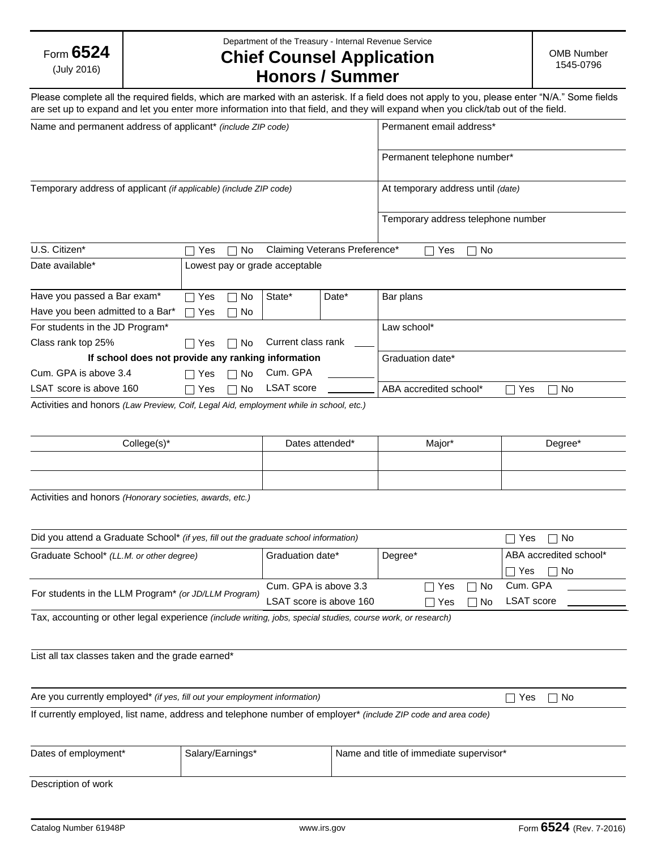| Form $6524$ |
|-------------|
| (July 2016) |

Department of the Treasury - Internal Revenue Service

## **Chief Counsel Application Honors / Summer**

Please complete all the required fields, which are marked with an asterisk. If a field does not apply to you, please enter "N/A." Some fields are set up to expand and let you enter more information into that field, and they will expand when you click/tab out of the field.

| Name and permanent address of applicant* (include ZIP code)       |     |                |                                |                               | Permanent email address*                            |
|-------------------------------------------------------------------|-----|----------------|--------------------------------|-------------------------------|-----------------------------------------------------|
|                                                                   |     |                |                                |                               | Permanent telephone number*                         |
| Temporary address of applicant (if applicable) (include ZIP code) |     |                |                                |                               | At temporary address until (date)                   |
|                                                                   |     |                |                                |                               | Temporary address telephone number                  |
| U.S. Citizen*                                                     | Yes | No             |                                | Claiming Veterans Preference* | No<br>Yes                                           |
| Date available*                                                   |     |                | Lowest pay or grade acceptable |                               |                                                     |
| Have you passed a Bar exam*                                       | Yes | No             | State*                         | Date*                         | Bar plans                                           |
| Have you been admitted to a Bar*                                  | Yes | No<br>$\sim$ 1 |                                |                               |                                                     |
| For students in the JD Program*                                   |     |                |                                |                               | Law school*                                         |
| Class rank top 25%                                                | Yes | No.            | Current class rank             |                               |                                                     |
| If school does not provide any ranking information                |     |                |                                |                               | Graduation date*                                    |
| Cum. GPA is above 3.4                                             | Yes | No             | Cum. GPA                       |                               |                                                     |
| LSAT score is above 160                                           | Yes | No             | <b>LSAT</b> score              |                               | ABA accredited school*<br>Yes<br>No<br>$\mathbf{I}$ |

Activities and honors *(Law Preview, Coif, Legal Aid, employment while in school, etc.)*

| College(s)* | Dates attended* | Major* | Degree* |
|-------------|-----------------|--------|---------|
|             |                 |        |         |
|             |                 |        |         |

Activities and honors *(Honorary societies, awards, etc.)*

| Did you attend a Graduate School* (if yes, fill out the graduate school information)                         |                         |         |       |           | Yes<br>$\mathsf{L}$    | No. |
|--------------------------------------------------------------------------------------------------------------|-------------------------|---------|-------|-----------|------------------------|-----|
| Graduate School* (LL.M. or other degree)                                                                     | Graduation date*        | Degree* |       |           | ABA accredited school* |     |
|                                                                                                              |                         |         |       |           | Yes                    | No. |
|                                                                                                              | Cum. GPA is above 3.3   |         | □ Yes | $\Box$ No | Cum. GPA               |     |
| For students in the LLM Program* (or JD/LLM Program)                                                         | LSAT score is above 160 |         | ∩ Yes | No        | <b>LSAT</b> score      |     |
| Tax, accounting or other legal experience (include writing, jobs, special studies, course work, or research) |                         |         |       |           |                        |     |
|                                                                                                              |                         |         |       |           |                        |     |
|                                                                                                              |                         |         |       |           |                        |     |

List all tax classes taken and the grade earned\*

Are you currently employed<sup>\*</sup> *(if yes, fill out your employment information)*  $\Box$  Yes  $\Box$  Yes  $\Box$  No

If currently employed, list name, address and telephone number of employer\* *(include ZIP code and area code)*

| Dates of employment* | Salary/Earnings* | Name and title of immediate supervisor* |
|----------------------|------------------|-----------------------------------------|
|                      |                  |                                         |

Description of work